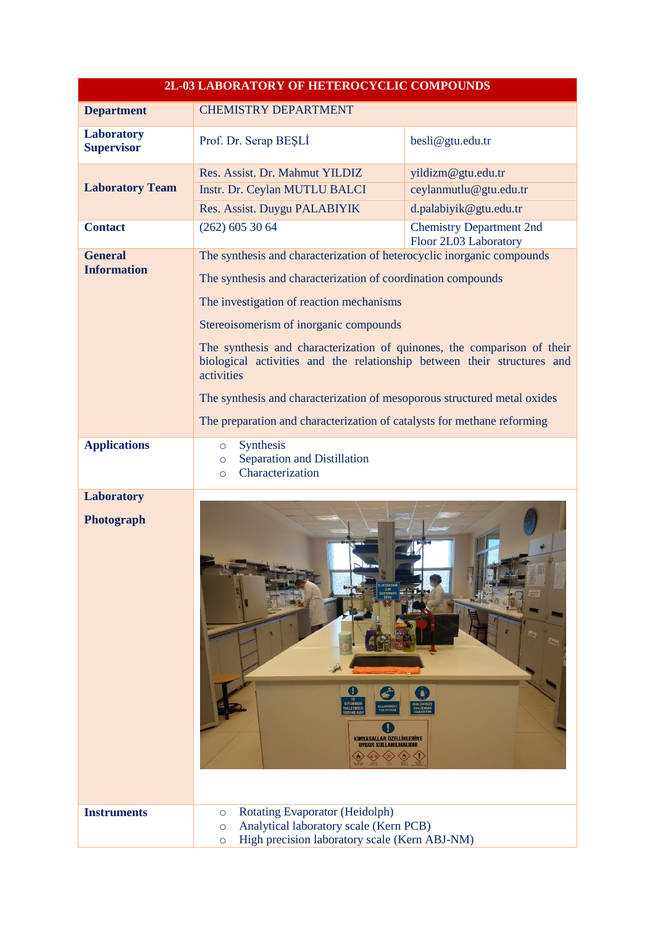|                                        | 2L-03 LABORATORY OF HETEROCYCLIC COMPOUNDS                                                                                                                        |                                                          |
|----------------------------------------|-------------------------------------------------------------------------------------------------------------------------------------------------------------------|----------------------------------------------------------|
| <b>Department</b>                      | <b>CHEMISTRY DEPARTMENT</b>                                                                                                                                       |                                                          |
| <b>Laboratory</b><br><b>Supervisor</b> | Prof. Dr. Serap BEŞLİ                                                                                                                                             | besli@gtu.edu.tr                                         |
|                                        | Res. Assist. Dr. Mahmut YILDIZ                                                                                                                                    | yildizm@gtu.edu.tr                                       |
| <b>Laboratory Team</b>                 | Instr. Dr. Ceylan MUTLU BALCI                                                                                                                                     | ceylanmutlu@gtu.edu.tr                                   |
|                                        | Res. Assist. Duygu PALABIYIK                                                                                                                                      | d.palabiyik@gtu.edu.tr                                   |
| <b>Contact</b>                         | $(262)$ 605 30 64                                                                                                                                                 | <b>Chemistry Department 2nd</b><br>Floor 2L03 Laboratory |
| <b>General</b>                         | The synthesis and characterization of heterocyclic inorganic compounds                                                                                            |                                                          |
| <b>Information</b>                     | The synthesis and characterization of coordination compounds                                                                                                      |                                                          |
|                                        | The investigation of reaction mechanisms                                                                                                                          |                                                          |
|                                        | Stereoisomerism of inorganic compounds                                                                                                                            |                                                          |
|                                        | The synthesis and characterization of quinones, the comparison of their<br>biological activities and the relationship between their structures and<br>activities  |                                                          |
|                                        | The synthesis and characterization of mesoporous structured metal oxides                                                                                          |                                                          |
|                                        | The preparation and characterization of catalysts for methane reforming                                                                                           |                                                          |
| <b>Applications</b>                    | Synthesis<br>$\circ$<br>Separation and Distillation<br>$\circ$<br>Characterization<br>$\circ$                                                                     |                                                          |
| <b>Laboratory</b>                      |                                                                                                                                                                   |                                                          |
| Photograph                             | KIMYASALLAR ÖZELLİKLERİNE<br>UYGUN KULLANILMALIDIR                                                                                                                |                                                          |
| <b>Instruments</b>                     | <b>Rotating Evaporator (Heidolph)</b><br>$\circ$<br>Analytical laboratory scale (Kern PCB)<br>$\circ$<br>High precision laboratory scale (Kern ABJ-NM)<br>$\circ$ |                                                          |